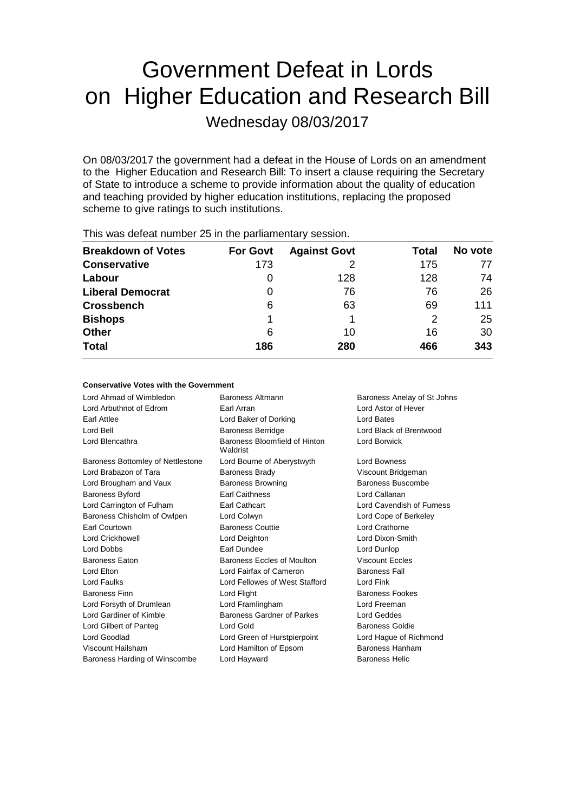# Government Defeat in Lords on Higher Education and Research Bill Wednesday 08/03/2017

On 08/03/2017 the government had a defeat in the House of Lords on an amendment to the Higher Education and Research Bill: To insert a clause requiring the Secretary of State to introduce a scheme to provide information about the quality of education and teaching provided by higher education institutions, replacing the proposed scheme to give ratings to such institutions.

| <b>Breakdown of Votes</b> | <b>For Govt</b> | <b>Against Govt</b> | Total | No vote |
|---------------------------|-----------------|---------------------|-------|---------|
| <b>Conservative</b>       | 173             |                     | 175   | 77      |
| Labour                    | O               | 128                 | 128   | 74      |
| <b>Liberal Democrat</b>   | 0               | 76                  | 76    | 26      |
| <b>Crossbench</b>         | 6               | 63                  | 69    | 111     |
| <b>Bishops</b>            |                 |                     | 2     | 25      |
| <b>Other</b>              | 6               | 10                  | 16    | 30      |
| <b>Total</b>              | 186             | 280                 | 466   | 343     |
|                           |                 |                     |       |         |

This was defeat number 25 in the parliamentary session.

#### **Conservative Votes with the Government**

Lord Ahmad of Wimbledon Baroness Altmann Baroness Anelay of St Johns Lord Arbuthnot of Edrom Earl Arran Lord Astor of Hever Earl Attlee Lord Baker of Dorking Lord Bates Lord Bell Baroness Berridge Lord Black of Brentwood Lord Blencathra **Baroness Bloomfield of Hinton** Waldrist Lord Borwick Baroness Bottomley of Nettlestone Lord Bourne of Aberystwyth Lord Bowness Lord Brabazon of Tara **Baroness Brady Communist Constructs** Viscount Bridgeman Lord Brougham and Vaux **Baroness Browning** Baroness Buscombe Baroness Byford **Earl Caithness** Lord Callanan Lord Carrington of Fulham Earl Cathcart Lord Cavendish of Furness Baroness Chisholm of Owlpen Lord Colwyn Lord Cope of Berkeley Earl Courtown **Baroness Couttie Lord Crathorne** Lord Crathorne Lord Crickhowell Lord Deighton Lord Dixon-Smith Lord Dobbs Earl Dundee Lord Dunlop Baroness Eaton Baroness Eccles of Moulton Viscount Eccles Lord Elton Lord Fairfax of Cameron Baroness Fall Lord Faulks Lord Fellowes of West Stafford Lord Fink Baroness Finn **Baroness Fookes** Lord Flight **Baroness Fookes Baroness Fookes** Lord Forsyth of Drumlean Lord Framlingham Lord Freeman Lord Gardiner of Kimble Baroness Gardner of Parkes Lord Geddes Lord Gilbert of Panteg Lord Gold Baroness Goldie Lord Goodlad Lord Green of Hurstpierpoint Lord Hague of Richmond Viscount Hailsham Lord Hamilton of Epsom Baroness Hanham Baroness Harding of Winscombe Lord Hayward **Baroness Helic** Baroness Helic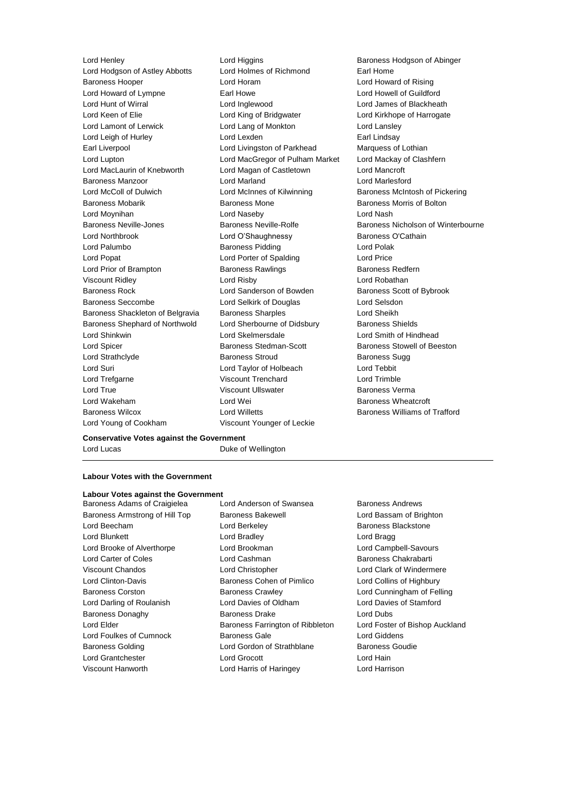Lord Hodgson of Astley Abbotts Lord Holmes of Richmond Earl Home Baroness Hooper Lord Horam Lord Howard of Rising Lord Howard of Lympne **Earl Howe** Earl Howe Lord Howell of Guildford Lord Hunt of Wirral Lord Inglewood Lord James of Blackheath Lord Keen of Elie Lord King of Bridgwater Lord Kirkhope of Harrogate Lord Lamont of Lerwick Lord Lang of Monkton Lord Lansley Lord Leigh of Hurley **Lord Lexden** Earl Lindsay Earl Liverpool **Lord Livingston of Parkhead** Marquess of Lothian Lord Lupton Lord MacGregor of Pulham Market Lord Mackay of Clashfern Lord MacLaurin of Knebworth Lord Magan of Castletown Lord Mancroft Baroness Manzoor Lord Marland Lord Marlesford Lord McColl of Dulwich **Lord McInnes of Kilwinning** Baroness McIntosh of Pickering Baroness Mobarik **Baroness Mone** Baroness Mone **Baroness Morris of Bolton** Lord Moynihan Lord Naseby Lord Nash Baroness Neville-Jones **Baroness Neville-Rolfe** Baroness Nicholson of Winterbourne Lord Northbrook Lord O'Shaughnessy Baroness O'Cathain Lord Palumbo **Baroness Pidding Constructs** Lord Polak Lord Popat **Lord Porter of Spalding Lord Price** Lord Prior of Brampton **Baroness Rawlings** Baroness Redfern Viscount Ridley Lord Risby Lord Robathan Baroness Rock **Lord Sanderson of Bowden** Baroness Scott of Bybrook Baroness Seccombe Lord Selkirk of Douglas Lord Selsdon Baroness Shackleton of Belgravia Baroness Sharples Lord Sheikh Baroness Shephard of Northwold Lord Sherbourne of Didsbury Baroness Shields Lord Shinkwin Lord Skelmersdale Lord Smith of Hindhead Lord Spicer Baroness Stedman-Scott Baroness Stowell of Beeston Lord Strathclyde **Baroness Stroud** Baroness Sugg Baroness Sugg Lord Suri Lord Taylor of Holbeach Lord Tebbit Lord Trefgarne Viscount Trenchard Lord Trimble Lord True Viscount Ullswater Baroness Verma Lord Wakeham **Lord Wei** Lord Wei **Baroness Wheatcroft** Baroness Wilcox Lord Willetts Baroness Williams of Trafford Lord Young of Cookham Viscount Younger of Leckie

Lord Henley Lord Higgins Baroness Hodgson of Abinger

### **Conservative Votes against the Government**

Lord Lucas **Duke of Wellington** 

#### **Labour Votes with the Government**

## **Labour Votes against the Government**

Baroness Armstrong of Hill Top Baroness Bakewell **Baroness Bakewell** Lord Bassam of Brighton Lord Beecham **Lord Berkeley** Baroness Blackstone Lord Blunkett **Lord Bradley** Lord Bradley **Lord Bragg** Lord Brooke of Alverthorpe Lord Brookman Lord Campbell-Savours Lord Carter of Coles **Lord Cashman Lord Cashman** Baroness Chakrabarti Viscount Chandos Lord Christopher Lord Clark of Windermere Lord Clinton-Davis Baroness Cohen of Pimlico Lord Collins of Highbury Baroness Corston **Baroness Crawley Corston** Baroness Crawley **Lord Cunningham of Felling** Lord Darling of Roulanish Lord Davies of Oldham Lord Davies of Stamford Baroness Donaghy Baroness Drake Lord Dubs Lord Elder **Baroness Farrington of Ribbleton** Lord Foster of Bishop Auckland Lord Foulkes of Cumnock Baroness Gale Cumnoch Baroness Gale Cumnock Baroness Gale Lord Giddens Baroness Golding **Lord Gordon of Strathblane** Baroness Goudie Lord Grantchester **Lord Grocott** Lord Hain Viscount Hanworth Lord Harris of Haringey Lord Harrison

Baroness Adams of Craigielea Lord Anderson of Swansea Baroness Andrews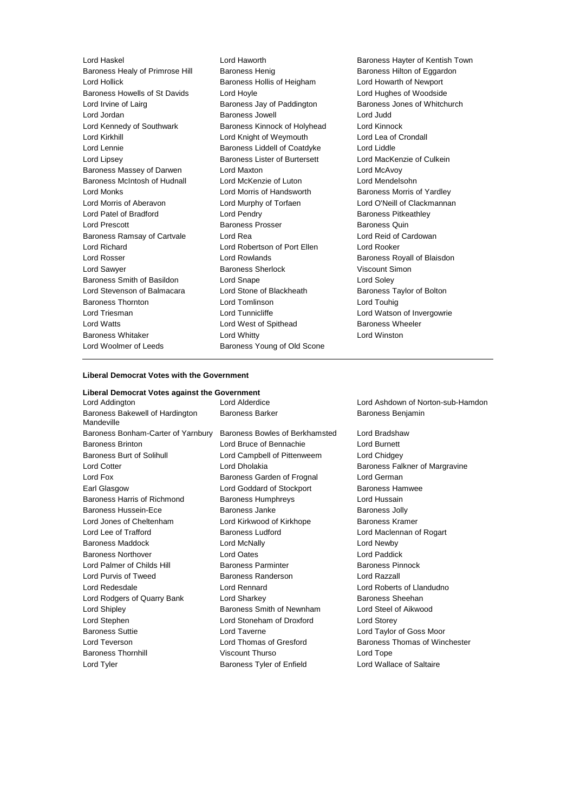Lord Haskel Lord Haworth Baroness Hayter of Kentish Town Baroness Healy of Primrose Hill Baroness Henig Baroness Henry Baroness Hilton of Eggardon Lord Hollick Baroness Hollis of Heigham Lord Howarth of Newport Baroness Howells of St Davids Lord Hoyle Lord House Lord Hughes of Woodside<br>
Lord Irvine of Laira **Communist Construent Baroness** Jay of Paddington Baroness Jones of Whitch Lord Jordan Baroness Jowell Lord Judd Lord Kennedy of Southwark Baroness Kinnock of Holyhead Lord Kinnock Lord Kirkhill Lord Knight of Weymouth Lord Lea of Crondall Lord Lennie **Baroness Liddell of Coatdyke** Lord Liddle Lord Lipsey Baroness Lister of Burtersett Lord MacKenzie of Culkein Baroness Massey of Darwen Lord Maxton Lord McAvoy Baroness McIntosh of Hudnall Lord McKenzie of Luton Lord Mendelsohn Lord Monks **Lord Morris of Handsworth** Baroness Morris of Yardley Lord Morris of Aberavon Lord Murphy of Torfaen Lord O'Neill of Clackmannan Lord Patel of Bradford Lord Pendry Cord Pendry Baroness Pitkeathley Lord Prescott **Baroness Prosser** Baroness Prosser Baroness Quin Baroness Ramsay of Cartvale Lord Rea Lord Reid of Cardowan Lord Richard Lord Robertson of Port Ellen Lord Rooker Lord Rosser **Lord Rowlands Baroness Royall of Blaisdon** Lord Sawyer **Baroness Sherlock** Viscount Simon Baroness Smith of Basildon Lord Snape Lord Soley Lord Stevenson of Balmacara Lord Stone of Blackheath Baroness Taylor of Bolton Baroness Thornton Lord Tomlinson Lord Touhig Lord Triesman **Lord Tunnicliffe** Lord Tunnicliffe Lord Watson of Invergowrie Lord Watts **Lord West of Spithead** Baroness Wheeler Baroness Whitaker Lord Whitty Lord Winston Lord Woolmer of Leeds Baroness Young of Old Scone

Baroness Jay of Paddington Baroness Jones of Whitchurch

#### **Liberal Democrat Votes with the Government**

#### **Liberal Democrat Votes against the Government**

Lord Addington Lord Alderdice Lord Ashdown of Norton-sub-Hamdon Baroness Bakewell of Hardington Mandeville Baroness Bonham-Carter of Yarnbury Baroness Bowles of Berkhamsted Lord Bradshaw Baroness Brinton Lord Bruce of Bennachie Lord Burnett Baroness Burt of Solihull Lord Campbell of Pittenweem Lord Chidgey Lord Cotter **Lord Dholakia** Lord Dholakia **Baroness Falkner of Margravine** Lord Fox **Baroness Garden of Frognal** Lord German Earl Glasgow **Lord Goddard of Stockport** Baroness Hamwee Baroness Harris of Richmond Baroness Humphreys Lord Hussain Baroness Hussein-Ece **Baroness Janke** Baroness Jolly Lord Jones of Cheltenham Lord Kirkwood of Kirkhope Baroness Kramer Lord Lee of Trafford Baroness Ludford Lord Maclennan of Rogart Baroness Maddock Lord McNally Lord Newby Baroness Northover Lord Oates Lord Paddick Lord Palmer of Childs Hill Baroness Parminter Baroness Parminter Baroness Pinnock Lord Purvis of Tweed Baroness Randerson Lord Razzall Lord Redesdale Lord Rennard Lord Roberts of Llandudno Lord Rodgers of Quarry Bank Lord Sharkey **Baroness** Sheehan Lord Shipley **Baroness Smith of Newnham** Lord Steel of Aikwood Lord Stephen Lord Stoneham of Droxford Lord Storey Baroness Suttie Lord Taverne Lord Taylor of Goss Moor Lord Teverson **Lord Thomas of Gresford** Baroness Thomas of Winchester Baroness Thornhill Viscount Thurso Lord Tope Lord Tyler **Baroness Tyler of Enfield** Lord Wallace of Saltaire

Baroness Barker **Baroness Benjamin**